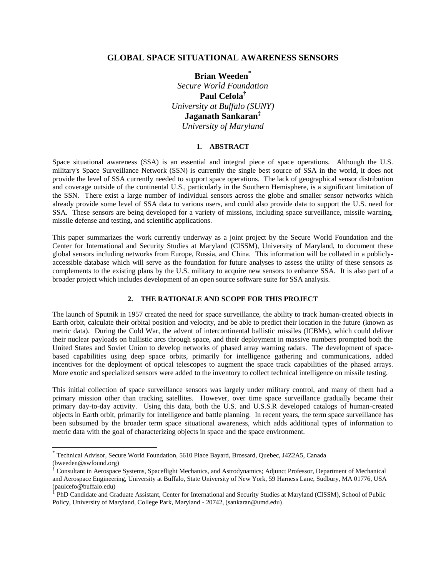## **GLOBAL SPACE SITUATIONAL AWARENESS SENSORS**

**Brian Weeden\*** *Secure World Foundation* **Paul Cefola†** *University at Buffalo (SUNY)* **Jaganath Sankaran‡** *University of Maryland*

#### **1. ABSTRACT**

Space situational awareness (SSA) is an essential and integral piece of space operations. Although the U.S. military's Space Surveillance Network (SSN) is currently the single best source of SSA in the world, it does not provide the level of SSA currently needed to support space operations. The lack of geographical sensor distribution and coverage outside of the continental U.S., particularly in the Southern Hemisphere, is a significant limitation of the SSN. There exist a large number of individual sensors across the globe and smaller sensor networks which already provide some level of SSA data to various users, and could also provide data to support the U.S. need for SSA. These sensors are being developed for a variety of missions, including space surveillance, missile warning, missile defense and testing, and scientific applications.

This paper summarizes the work currently underway as a joint project by the Secure World Foundation and the Center for International and Security Studies at Maryland (CISSM), University of Maryland, to document these global sensors including networks from Europe, Russia, and China. This information will be collated in a publiclyaccessible database which will serve as the foundation for future analyses to assess the utility of these sensors as complements to the existing plans by the U.S. military to acquire new sensors to enhance SSA. It is also part of a broader project which includes development of an open source software suite for SSA analysis.

#### **2. THE RATIONALE AND SCOPE FOR THIS PROJECT**

The launch of Sputnik in 1957 created the need for space surveillance, the ability to track human-created objects in Earth orbit, calculate their orbital position and velocity, and be able to predict their location in the future (known as metric data). During the Cold War, the advent of intercontinental ballistic missiles (ICBMs), which could deliver their nuclear payloads on ballistic arcs through space, and their deployment in massive numbers prompted both the United States and Soviet Union to develop networks of phased array warning radars. The development of spacebased capabilities using deep space orbits, primarily for intelligence gathering and communications, added incentives for the deployment of optical telescopes to augment the space track capabilities of the phased arrays. More exotic and specialized sensors were added to the inventory to collect technical intelligence on missile testing.

This initial collection of space surveillance sensors was largely under military control, and many of them had a primary mission other than tracking satellites. However, over time space surveillance gradually became their primary day-to-day activity. Using this data, both the U.S. and U.S.S.R developed catalogs of human-created objects in Earth orbit, primarily for intelligence and battle planning. In recent years, the term space surveillance has been subsumed by the broader term space situational awareness, which adds additional types of information to metric data with the goal of characterizing objects in space and the space environment.

l

<sup>\*</sup> Technical Advisor, Secure World Foundation, 5610 Place Bayard, Brossard, Quebec, J4Z2A5, Canada (bweeden@swfound.org)

<sup>†</sup> Consultant in Aerospace Systems, Spaceflight Mechanics, and Astrodynamics; Adjunct Professor, Department of Mechanical and Aerospace Engineering, University at Buffalo, State University of New York, 59 Harness Lane, Sudbury, MA 01776, USA (paulcefo@buffalo.edu)

<sup>‡</sup> PhD Candidate and Graduate Assistant, Center for International and Security Studies at Maryland (CISSM), School of Public Policy, University of Maryland, College Park, Maryland - 20742, (sankaran@umd.edu)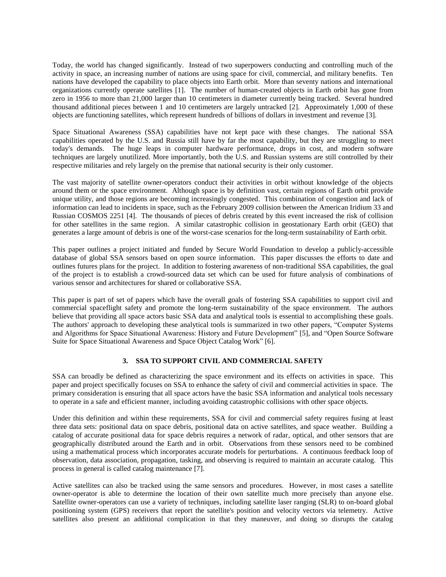Today, the world has changed significantly. Instead of two superpowers conducting and controlling much of the activity in space, an increasing number of nations are using space for civil, commercial, and military benefits. Ten nations have developed the capability to place objects into Earth orbit. More than seventy nations and international organizations currently operate satellites [\[1\]](#page-9-0). The number of human-created objects in Earth orbit has gone from zero in 1956 to more than 21,000 larger than 10 centimeters in diameter currently being tracked. Several hundred thousand additional pieces between 1 and 10 centimeters are largely untracked [\[2\]](#page-9-1). Approximately 1,000 of these objects are functioning satellites, which represent hundreds of billions of dollars in investment and revenue [\[3\]](#page-9-2).

Space Situational Awareness (SSA) capabilities have not kept pace with these changes. The national SSA capabilities operated by the U.S. and Russia still have by far the most capability, but they are struggling to meet today's demands. The huge leaps in computer hardware performance, drops in cost, and modern software techniques are largely unutilized. More importantly, both the U.S. and Russian systems are still controlled by their respective militaries and rely largely on the premise that national security is their only customer.

The vast majority of satellite owner-operators conduct their activities in orbit without knowledge of the objects around them or the space environment. Although space is by definition vast, certain regions of Earth orbit provide unique utility, and those regions are becoming increasingly congested. This combination of congestion and lack of information can lead to incidents in space, such as the February 2009 collision between the American Iridium 33 and Russian COSMOS 2251 [\[4\]](#page-9-3). The thousands of pieces of debris created by this event increased the risk of collision for other satellites in the same region. A similar catastrophic collision in geostationary Earth orbit (GEO) that generates a large amount of debris is one of the worst-case scenarios for the long-term sustainability of Earth orbit.

This paper outlines a project initiated and funded by Secure World Foundation to develop a publicly-accessible database of global SSA sensors based on open source information. This paper discusses the efforts to date and outlines futures plans for the project. In addition to fostering awareness of non-traditional SSA capabilities, the goal of the project is to establish a crowd-sourced data set which can be used for future analysis of combinations of various sensor and architectures for shared or collaborative SSA.

This paper is part of set of papers which have the overall goals of fostering SSA capabilities to support civil and commercial spaceflight safety and promote the long-term sustainability of the space environment. The authors believe that providing all space actors basic SSA data and analytical tools is essential to accomplishing these goals. The authors' approach to developing these analytical tools is summarized in two other papers, "Computer Systems and Algorithms for Space Situational Awareness: History and Future Development" [\[5\]](#page-9-4), and "Open Source Software Suite for Space Situational Awareness and Space Object Catalog Work" [\[6\]](#page-9-5).

## **3. SSA TO SUPPORT CIVIL AND COMMERCIAL SAFETY**

SSA can broadly be defined as characterizing the space environment and its effects on activities in space. This paper and project specifically focuses on SSA to enhance the safety of civil and commercial activities in space. The primary consideration is ensuring that all space actors have the basic SSA information and analytical tools necessary to operate in a safe and efficient manner, including avoiding catastrophic collisions with other space objects.

Under this definition and within these requirements, SSA for civil and commercial safety requires fusing at least three data sets: positional data on space debris, positional data on active satellites, and space weather. Building a catalog of accurate positional data for space debris requires a network of radar, optical, and other sensors that are geographically distributed around the Earth and in orbit. Observations from these sensors need to be combined using a mathematical process which incorporates accurate models for perturbations. A continuous feedback loop of observation, data association, propagation, tasking, and observing is required to maintain an accurate catalog. This process in general is called catalog maintenance [\[7\]](#page-9-6).

Active satellites can also be tracked using the same sensors and procedures. However, in most cases a satellite owner-operator is able to determine the location of their own satellite much more precisely than anyone else. Satellite owner-operators can use a variety of techniques, including satellite laser ranging (SLR) to on-board global positioning system (GPS) receivers that report the satellite's position and velocity vectors via telemetry. Active satellites also present an additional complication in that they maneuver, and doing so disrupts the catalog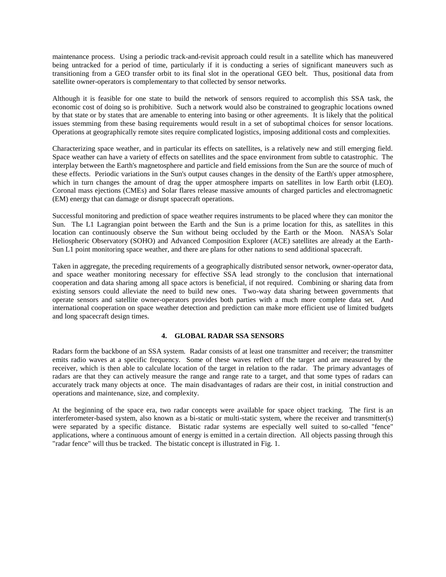maintenance process. Using a periodic track-and-revisit approach could result in a satellite which has maneuvered being untracked for a period of time, particularly if it is conducting a series of significant maneuvers such as transitioning from a GEO transfer orbit to its final slot in the operational GEO belt. Thus, positional data from satellite owner-operators is complementary to that collected by sensor networks.

Although it is feasible for one state to build the network of sensors required to accomplish this SSA task, the economic cost of doing so is prohibitive. Such a network would also be constrained to geographic locations owned by that state or by states that are amenable to entering into basing or other agreements. It is likely that the political issues stemming from these basing requirements would result in a set of suboptimal choices for sensor locations. Operations at geographically remote sites require complicated logistics, imposing additional costs and complexities.

Characterizing space weather, and in particular its effects on satellites, is a relatively new and still emerging field. Space weather can have a variety of effects on satellites and the space environment from subtle to catastrophic. The interplay between the Earth's magnetosphere and particle and field emissions from the Sun are the source of much of these effects. Periodic variations in the Sun's output causes changes in the density of the Earth's upper atmosphere, which in turn changes the amount of drag the upper atmosphere imparts on satellites in low Earth orbit (LEO). Coronal mass ejections (CMEs) and Solar flares release massive amounts of charged particles and electromagnetic (EM) energy that can damage or disrupt spacecraft operations.

Successful monitoring and prediction of space weather requires instruments to be placed where they can monitor the Sun. The L1 Lagrangian point between the Earth and the Sun is a prime location for this, as satellites in this location can continuously observe the Sun without being occluded by the Earth or the Moon. NASA's Solar Heliospheric Observatory (SOHO) and Advanced Composition Explorer (ACE) satellites are already at the Earth-Sun L1 point monitoring space weather, and there are plans for other nations to send additional spacecraft.

Taken in aggregate, the preceding requirements of a geographically distributed sensor network, owner-operator data, and space weather monitoring necessary for effective SSA lead strongly to the conclusion that international cooperation and data sharing among all space actors is beneficial, if not required. Combining or sharing data from existing sensors could alleviate the need to build new ones. Two-way data sharing between governments that operate sensors and satellite owner-operators provides both parties with a much more complete data set. And international cooperation on space weather detection and prediction can make more efficient use of limited budgets and long spacecraft design times.

#### **4. GLOBAL RADAR SSA SENSORS**

Radars form the backbone of an SSA system. Radar consists of at least one transmitter and receiver; the transmitter emits radio waves at a specific frequency. Some of these waves reflect off the target and are measured by the receiver, which is then able to calculate location of the target in relation to the radar. The primary advantages of radars are that they can actively measure the range and range rate to a target, and that some types of radars can accurately track many objects at once. The main disadvantages of radars are their cost, in initial construction and operations and maintenance, size, and complexity.

At the beginning of the space era, two radar concepts were available for space object tracking. The first is an interferometer-based system, also known as a bi-static or multi-static system, where the receiver and transmitter(s) were separated by a specific distance. Bistatic radar systems are especially well suited to so-called "fence" applications, where a continuous amount of energy is emitted in a certain direction. All objects passing through this "radar fence" will thus be tracked. The bistatic concept is illustrated in [Fig. 1.](#page-3-0)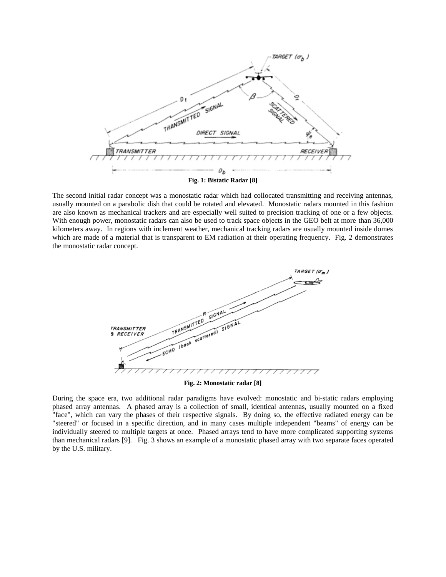

<span id="page-3-0"></span>The second initial radar concept was a monostatic radar which had collocated transmitting and receiving antennas, usually mounted on a parabolic dish that could be rotated and elevated. Monostatic radars mounted in this fashion are also known as mechanical trackers and are especially well suited to precision tracking of one or a few objects. With enough power, monostatic radars can also be used to track space objects in the GEO belt at more than 36,000 kilometers away. In regions with inclement weather, mechanical tracking radars are usually mounted inside domes which are made of a material that is transparent to EM radiation at their operating frequency. [Fig. 2](#page-3-1) demonstrates the monostatic radar concept.



**Fig. 2: Monostatic radar [\[8\]](#page-9-7)**

<span id="page-3-1"></span>During the space era, two additional radar paradigms have evolved: monostatic and bi-static radars employing phased array antennas. A phased array is a collection of small, identical antennas, usually mounted on a fixed "face", which can vary the phases of their respective signals. By doing so, the effective radiated energy can be "steered" or focused in a specific direction, and in many cases multiple independent "beams" of energy can be individually steered to multiple targets at once. Phased arrays tend to have more complicated supporting systems than mechanical radars [\[9\]](#page-9-8). [Fig. 3](#page-4-0) shows an example of a monostatic phased array with two separate faces operated by the U.S. military.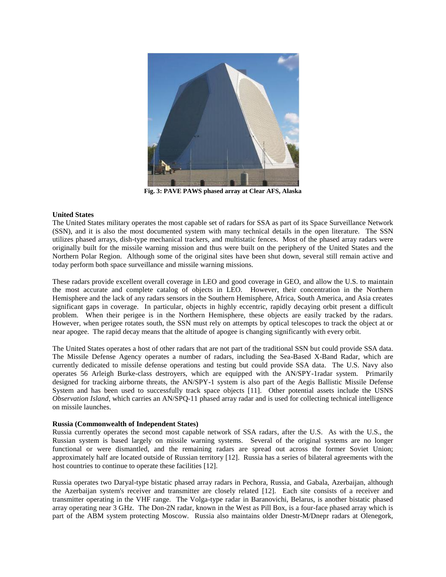

**Fig. 3: PAVE PAWS phased array at Clear AFS, Alaska**

#### <span id="page-4-0"></span>**United States**

The United States military operates the most capable set of radars for SSA as part of its Space Surveillance Network (SSN), and it is also the most documented system with many technical details in the open literature. The SSN utilizes phased arrays, dish-type mechanical trackers, and multistatic fences. Most of the phased array radars were originally built for the missile warning mission and thus were built on the periphery of the United States and the Northern Polar Region. Although some of the original sites have been shut down, several still remain active and today perform both space surveillance and missile warning missions.

These radars provide excellent overall coverage in LEO and good coverage in GEO, and allow the U.S. to maintain the most accurate and complete catalog of objects in LEO. However, their concentration in the Northern Hemisphere and the lack of any radars sensors in the Southern Hemisphere, Africa, South America, and Asia creates significant gaps in coverage. In particular, objects in highly eccentric, rapidly decaying orbit present a difficult problem. When their perigee is in the Northern Hemisphere, these objects are easily tracked by the radars. However, when perigee rotates south, the SSN must rely on attempts by optical telescopes to track the object at or near apogee. The rapid decay means that the altitude of apogee is changing significantly with every orbit.

The United States operates a host of other radars that are not part of the traditional SSN but could provide SSA data. The Missile Defense Agency operates a number of radars, including the Sea-Based X-Band Radar, which are currently dedicated to missile defense operations and testing but could provide SSA data. The U.S. Navy also operates 56 Arleigh Burke-class destroyers, which are equipped with the AN/SPY-1radar system. Primarily designed for tracking airborne threats, the AN/SPY-1 system is also part of the Aegis Ballistic Missile Defense System and has been used to successfully track space objects [\[11\]](#page-9-9). Other potential assets include the USNS *Observation Island*, which carries an AN/SPQ-11 phased array radar and is used for collecting technical intelligence on missile launches.

#### **Russia (Commonwealth of Independent States)**

Russia currently operates the second most capable network of SSA radars, after the U.S. As with the U.S., the Russian system is based largely on missile warning systems. Several of the original systems are no longer functional or were dismantled, and the remaining radars are spread out across the former Soviet Union; approximately half are located outside of Russian territory [\[12\]](#page-9-10). Russia has a series of bilateral agreements with the host countries to continue to operate these facilities [\[12\]](#page-9-10).

Russia operates two Daryal-type bistatic phased array radars in Pechora, Russia, and Gabala, Azerbaijan, although the Azerbaijan system's receiver and transmitter are closely related [\[12\]](#page-9-10). Each site consists of a receiver and transmitter operating in the VHF range. The Volga-type radar in Baranovichi, Belarus, is another bistatic phased array operating near 3 GHz. The Don-2N radar, known in the West as Pill Box, is a four-face phased array which is part of the ABM system protecting Moscow. Russia also maintains older Dnestr-M/Dnepr radars at Olenegork,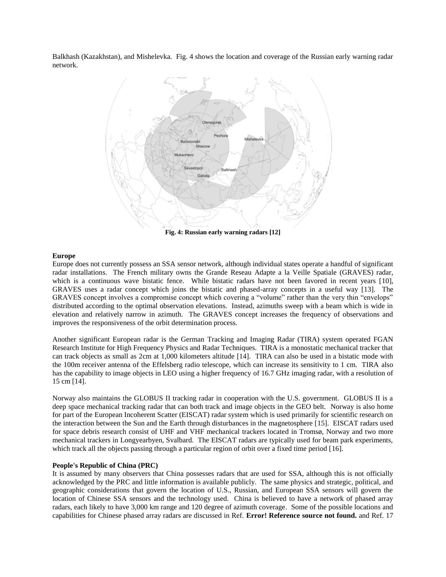Balkhash (Kazakhstan), and Mishelevka. [Fig.](#page-5-0) 4 shows the location and coverage of the Russian early warning radar network.



**Fig. 4: Russian early warning radars [\[12\]](#page-9-10)**

#### <span id="page-5-0"></span>**Europe**

Europe does not currently possess an SSA sensor network, although individual states operate a handful of significant radar installations. The French military owns the Grande Reseau Adapte a la Veille Spatiale (GRAVES) radar, which is a continuous wave bistatic fence. While bistatic radars have not been favored in recent years [\[10\]](#page-9-11), GRAVES uses a radar concept which joins the bistatic and phased-array concepts in a useful way [\[13\]](#page-9-12). The GRAVES concept involves a compromise concept which covering a "volume" rather than the very thin "envelops" distributed according to the optimal observation elevations. Instead, azimuths sweep with a beam which is wide in elevation and relatively narrow in azimuth. The GRAVES concept increases the frequency of observations and improves the responsiveness of the orbit determination process.

Another significant European radar is the German Tracking and Imaging Radar (TIRA) system operated FGAN Research Institute for High Frequency Physics and Radar Techniques. TIRA is a monostatic mechanical tracker that can track objects as small as 2cm at 1,000 kilometers altitude [\[14\]](#page-9-13). TIRA can also be used in a bistatic mode with the 100m receiver antenna of the Effelsberg radio telescope, which can increase its sensitivity to 1 cm. TIRA also has the capability to image objects in LEO using a higher frequency of 16.7 GHz imaging radar, with a resolution of 15 cm [\[14\]](#page-9-13).

Norway also maintains the GLOBUS II tracking radar in cooperation with the U.S. government. GLOBUS II is a deep space mechanical tracking radar that can both track and image objects in the GEO belt. Norway is also home for part of the European Incoherent Scatter (EISCAT) radar system which is used primarily for scientific research on the interaction between the Sun and the Earth through disturbances in the magnetosphere [\[15\]](#page-9-14). EISCAT radars used for space debris research consist of UHF and VHF mechanical trackers located in Tromsø, Norway and two more mechanical trackers in Longyearbyen, Svalbard. The EISCAT radars are typically used for beam park experiments, which track all the objects passing through a particular region of orbit over a fixed time period [\[16\]](#page-9-15).

#### **People's Republic of China (PRC)**

It is assumed by many observers that China possesses radars that are used for SSA, although this is not officially acknowledged by the PRC and little information is available publicly. The same physics and strategic, political, and geographic considerations that govern the location of U.S., Russian, and European SSA sensors will govern the location of Chinese SSA sensors and the technology used. China is believed to have a network of phased array radars, each likely to have 3,000 km range and 120 degree of azimuth coverage. Some of the possible locations and capabilities for Chinese phased array radars are discussed in Ref. **Error! Reference source not found.** and Ref. [17](#page-9-16)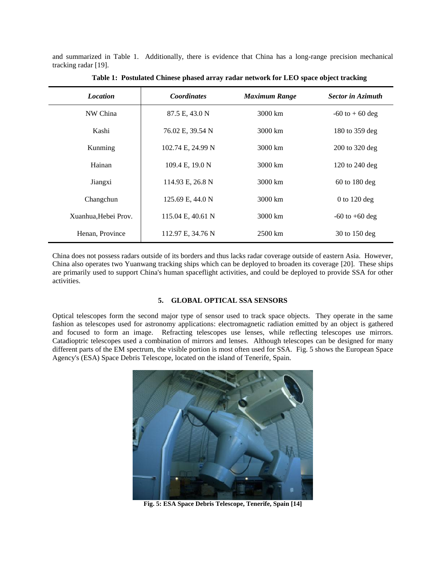and summarized in Table 1. Additionally, there is evidence that China has a long-range precision mechanical tracking radar [\[19\]](#page-9-17).

| <b>Location</b>      | <b>Coordinates</b> | <b>Maximum Range</b> | <b>Sector in Azimuth</b> |
|----------------------|--------------------|----------------------|--------------------------|
| NW China             | 87.5 E, 43.0 N     | $3000 \mathrm{km}$   | $-60$ to $+60$ deg       |
| Kashi                | 76.02 E, 39.54 N   | 3000 km              | 180 to 359 deg           |
| Kunming              | 102.74 E, 24.99 N  | 3000 km              | $200$ to $320$ deg       |
| Hainan               | 109.4 E, 19.0 N    | 3000 km              | 120 to 240 deg           |
| Jiangxi              | 114.93 E, 26.8 N   | 3000 km              | $60$ to 180 deg          |
| Changchun            | 125.69 E, 44.0 N   | 3000 km              | 0 to $120$ deg           |
| Xuanhua. Hebei Prov. | 115.04 E, 40.61 N  | 3000 km              | $-60$ to $+60$ deg       |
| Henan, Province      | 112.97 E, 34.76 N  | $2500 \mathrm{km}$   | 30 to 150 deg            |

**Table 1: Postulated Chinese phased array radar network for LEO space object tracking**

China does not possess radars outside of its borders and thus lacks radar coverage outside of eastern Asia. However, China also operates two Yuanwang tracking ships which can be deployed to broaden its coverage [\[20\]](#page-9-18). These ships are primarily used to support China's human spaceflight activities, and could be deployed to provide SSA for other activities.

#### **5. GLOBAL OPTICAL SSA SENSORS**

Optical telescopes form the second major type of sensor used to track space objects. They operate in the same fashion as telescopes used for astronomy applications: electromagnetic radiation emitted by an object is gathered and focused to form an image. Refracting telescopes use lenses, while reflecting telescopes use mirrors. Catadioptric telescopes used a combination of mirrors and lenses. Although telescopes can be designed for many different parts of the EM spectrum, the visible portion is most often used for SSA. [Fig. 5](#page-6-0) shows the European Space Agency's (ESA) Space Debris Telescope, located on the island of Tenerife, Spain.

<span id="page-6-0"></span>

**Fig. 5: ESA Space Debris Telescope, Tenerife, Spain [\[14\]](#page-9-13)**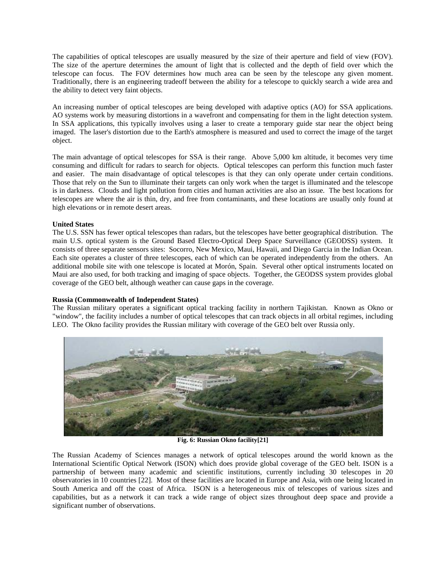The capabilities of optical telescopes are usually measured by the size of their aperture and field of view (FOV). The size of the aperture determines the amount of light that is collected and the depth of field over which the telescope can focus. The FOV determines how much area can be seen by the telescope any given moment. Traditionally, there is an engineering tradeoff between the ability for a telescope to quickly search a wide area and the ability to detect very faint objects.

An increasing number of optical telescopes are being developed with adaptive optics (AO) for SSA applications. AO systems work by measuring distortions in a wavefront and compensating for them in the light detection system. In SSA applications, this typically involves using a laser to create a temporary guide star near the object being imaged. The laser's distortion due to the Earth's atmosphere is measured and used to correct the image of the target object.

The main advantage of optical telescopes for SSA is their range. Above 5,000 km altitude, it becomes very time consuming and difficult for radars to search for objects. Optical telescopes can perform this function much faster and easier. The main disadvantage of optical telescopes is that they can only operate under certain conditions. Those that rely on the Sun to illuminate their targets can only work when the target is illuminated and the telescope is in darkness. Clouds and light pollution from cities and human activities are also an issue. The best locations for telescopes are where the air is thin, dry, and free from contaminants, and these locations are usually only found at high elevations or in remote desert areas.

## **United States**

The U.S. SSN has fewer optical telescopes than radars, but the telescopes have better geographical distribution. The main U.S. optical system is the Ground Based Electro-Optical Deep Space Surveillance (GEODSS) system. It consists of three separate sensors sites: Socorro, New Mexico, Maui, Hawaii, and Diego Garcia in the Indian Ocean. Each site operates a cluster of three telescopes, each of which can be operated independently from the others. An additional mobile site with one telescope is located at Morón, Spain. Several other optical instruments located on Maui are also used, for both tracking and imaging of space objects. Together, the GEODSS system provides global coverage of the GEO belt, although weather can cause gaps in the coverage.

#### **Russia (Commonwealth of Independent States)**

The Russian military operates a significant optical tracking facility in northern Tajikistan. Known as Okno or "window", the facility includes a number of optical telescopes that can track objects in all orbital regimes, including LEO. The Okno facility provides the Russian military with coverage of the GEO belt over Russia only.



**Fig. 6: Russian Okno facility[\[21\]](#page-9-19)**

The Russian Academy of Sciences manages a network of optical telescopes around the world known as the International Scientific Optical Network (ISON) which does provide global coverage of the GEO belt. ISON is a partnership of between many academic and scientific institutions, currently including 30 telescopes in 20 observatories in 10 countries [\[22\]](#page-9-20). Most of these facilities are located in Europe and Asia, with one being located in South America and off the coast of Africa. ISON is a heterogeneous mix of telescopes of various sizes and capabilities, but as a network it can track a wide range of object sizes throughout deep space and provide a significant number of observations.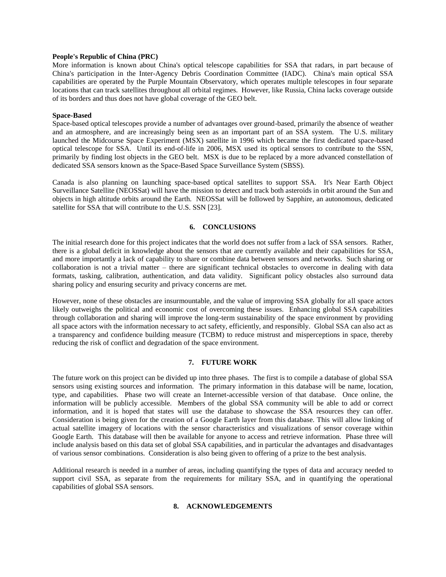### **People's Republic of China (PRC)**

More information is known about China's optical telescope capabilities for SSA that radars, in part because of China's participation in the Inter-Agency Debris Coordination Committee (IADC). China's main optical SSA capabilities are operated by the Purple Mountain Observatory, which operates multiple telescopes in four separate locations that can track satellites throughout all orbital regimes. However, like Russia, China lacks coverage outside of its borders and thus does not have global coverage of the GEO belt.

#### **Space-Based**

Space-based optical telescopes provide a number of advantages over ground-based, primarily the absence of weather and an atmosphere, and are increasingly being seen as an important part of an SSA system. The U.S. military launched the Midcourse Space Experiment (MSX) satellite in 1996 which became the first dedicated space-based optical telescope for SSA. Until its end-of-life in 2006, MSX used its optical sensors to contribute to the SSN, primarily by finding lost objects in the GEO belt. MSX is due to be replaced by a more advanced constellation of dedicated SSA sensors known as the Space-Based Space Surveillance System (SBSS).

Canada is also planning on launching space-based optical satellites to support SSA. It's Near Earth Object Surveillance Satellite (NEOSSat) will have the mission to detect and track both asteroids in orbit around the Sun and objects in high altitude orbits around the Earth. NEOSSat will be followed by Sapphire, an autonomous, dedicated satellite for SSA that will contribute to the U.S. SSN [\[23\]](#page-9-21).

# **6. CONCLUSIONS**

The initial research done for this project indicates that the world does not suffer from a lack of SSA sensors. Rather, there is a global deficit in knowledge about the sensors that are currently available and their capabilities for SSA, and more importantly a lack of capability to share or combine data between sensors and networks. Such sharing or collaboration is not a trivial matter – there are significant technical obstacles to overcome in dealing with data formats, tasking, calibration, authentication, and data validity. Significant policy obstacles also surround data sharing policy and ensuring security and privacy concerns are met.

However, none of these obstacles are insurmountable, and the value of improving SSA globally for all space actors likely outweighs the political and economic cost of overcoming these issues. Enhancing global SSA capabilities through collaboration and sharing will improve the long-term sustainability of the space environment by providing all space actors with the information necessary to act safety, efficiently, and responsibly. Global SSA can also act as a transparency and confidence building measure (TCBM) to reduce mistrust and misperceptions in space, thereby reducing the risk of conflict and degradation of the space environment.

# **7. FUTURE WORK**

The future work on this project can be divided up into three phases. The first is to compile a database of global SSA sensors using existing sources and information. The primary information in this database will be name, location, type, and capabilities. Phase two will create an Internet-accessible version of that database. Once online, the information will be publicly accessible. Members of the global SSA community will be able to add or correct information, and it is hoped that states will use the database to showcase the SSA resources they can offer. Consideration is being given for the creation of a Google Earth layer from this database. This will allow linking of actual satellite imagery of locations with the sensor characteristics and visualizations of sensor coverage within Google Earth. This database will then be available for anyone to access and retrieve information. Phase three will include analysis based on this data set of global SSA capabilities, and in particular the advantages and disadvantages of various sensor combinations. Consideration is also being given to offering of a prize to the best analysis.

Additional research is needed in a number of areas, including quantifying the types of data and accuracy needed to support civil SSA, as separate from the requirements for military SSA, and in quantifying the operational capabilities of global SSA sensors.

### **8. ACKNOWLEDGEMENTS**